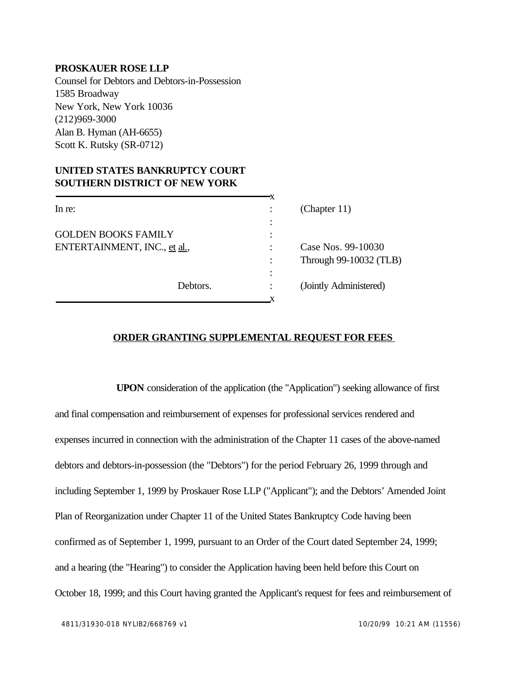## **PROSKAUER ROSE LLP**

Counsel for Debtors and Debtors-in-Possession 1585 Broadway New York, New York 10036 (212)969-3000 Alan B. Hyman (AH-6655) Scott K. Rutsky (SR-0712)

## **UNITED STATES BANKRUPTCY COURT SOUTHERN DISTRICT OF NEW YORK**

| In re:                       |          |   | (Chapter $11$ )        |
|------------------------------|----------|---|------------------------|
|                              |          | ٠ |                        |
| <b>GOLDEN BOOKS FAMILY</b>   |          |   |                        |
| ENTERTAINMENT, INC., et al., |          |   | Case Nos. 99-10030     |
|                              |          |   | Through 99-10032 (TLB) |
|                              |          | ٠ |                        |
|                              | Debtors. |   | (Jointly Administered) |
|                              |          |   |                        |

## **ORDER GRANTING SUPPLEMENTAL REQUEST FOR FEES**

**UPON** consideration of the application (the "Application") seeking allowance of first and final compensation and reimbursement of expenses for professional services rendered and expenses incurred in connection with the administration of the Chapter 11 cases of the above-named debtors and debtors-in-possession (the "Debtors") for the period February 26, 1999 through and including September 1, 1999 by Proskauer Rose LLP ("Applicant"); and the Debtors' Amended Joint Plan of Reorganization under Chapter 11 of the United States Bankruptcy Code having been confirmed as of September 1, 1999, pursuant to an Order of the Court dated September 24, 1999; and a hearing (the "Hearing") to consider the Application having been held before this Court on October 18, 1999; and this Court having granted the Applicant's request for fees and reimbursement of